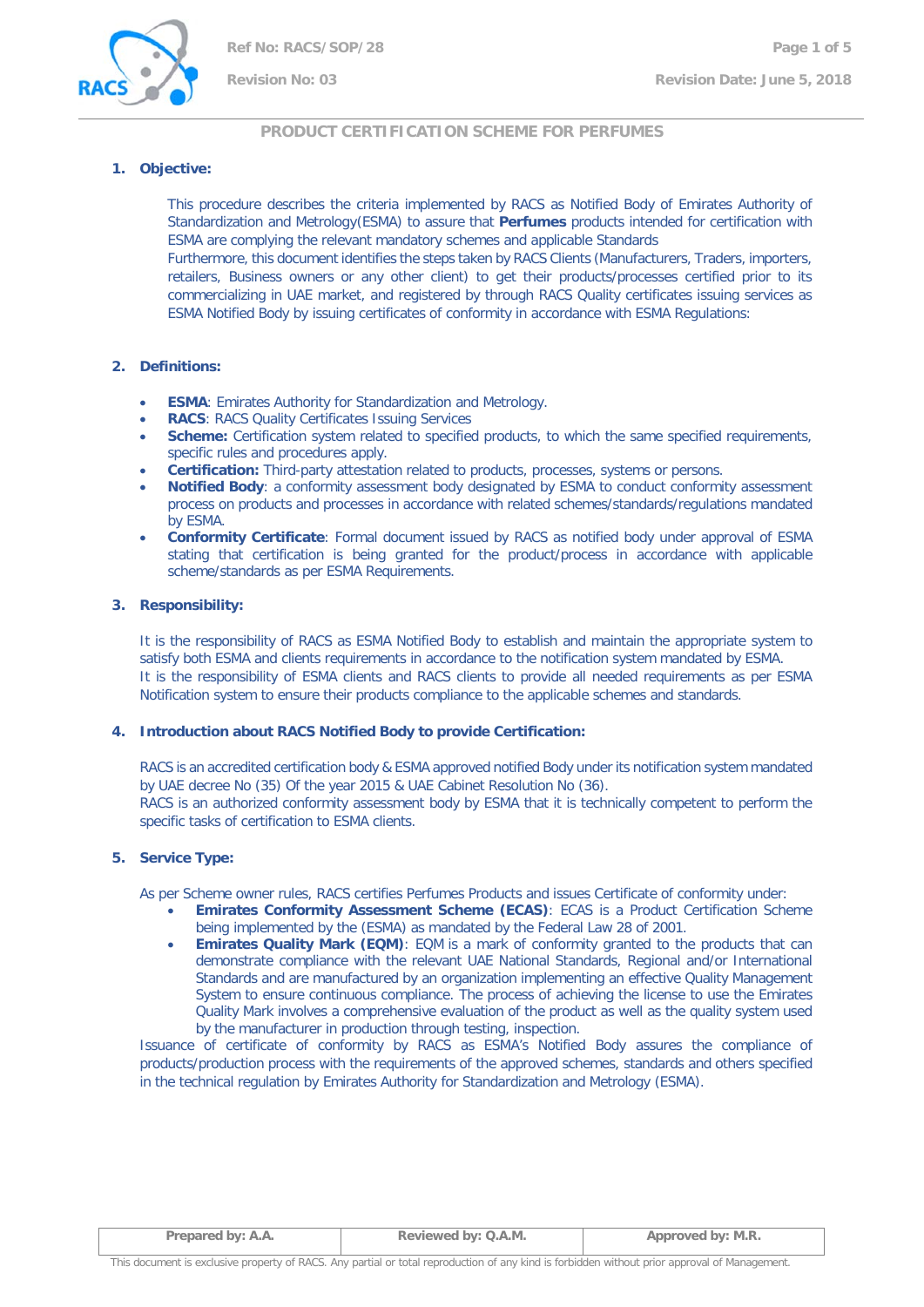

# **PRODUCT CERTIFICATION SCHEME FOR PERFUMES**

## **1. Objective:**

This procedure describes the criteria implemented by RACS as Notified Body of Emirates Authority of Standardization and Metrology(ESMA) to assure that **Perfumes** products intended for certification with ESMA are complying the relevant mandatory schemes and applicable Standards

Furthermore, this document identifies the steps taken by RACS Clients (Manufacturers, Traders, importers, retailers, Business owners or any other client) to get their products/processes certified prior to its commercializing in UAE market, and registered by through RACS Quality certificates issuing services as ESMA Notified Body by issuing certificates of conformity in accordance with ESMA Regulations:

# **2. Definitions:**

- **ESMA:** Emirates Authority for Standardization and Metrology.
- **RACS: RACS Quality Certificates Issuing Services**
- **Scheme:** Certification system related to specified products, to which the same specified requirements, specific rules and procedures apply.
- **Certification:** Third-party attestation related to products, processes, systems or persons.
- **Notified Body**: a conformity assessment body designated by ESMA to conduct conformity assessment process on products and processes in accordance with related schemes/standards/regulations mandated by ESMA.
- **Conformity Certificate**: Formal document issued by RACS as notified body under approval of ESMA stating that certification is being granted for the product/process in accordance with applicable scheme/standards as per ESMA Requirements.

# **3. Responsibility:**

It is the responsibility of RACS as ESMA Notified Body to establish and maintain the appropriate system to satisfy both ESMA and clients requirements in accordance to the notification system mandated by ESMA. It is the responsibility of ESMA clients and RACS clients to provide all needed requirements as per ESMA Notification system to ensure their products compliance to the applicable schemes and standards.

## **4. Introduction about RACS Notified Body to provide Certification:**

RACS is an accredited certification body & ESMA approved notified Body under its notification system mandated by UAE decree No (35) Of the year 2015 & UAE Cabinet Resolution No (36).

RACS is an authorized conformity assessment body by ESMA that it is technically competent to perform the specific tasks of certification to ESMA clients.

# **5. Service Type:**

As per Scheme owner rules, RACS certifies Perfumes Products and issues Certificate of conformity under:

- **Emirates Conformity Assessment Scheme (ECAS)**: ECAS is a Product Certification Scheme being implemented by the (ESMA) as mandated by the Federal Law 28 of 2001.
- **Emirates Quality Mark (EQM)**: EQM is a mark of conformity granted to the products that can demonstrate compliance with the relevant UAE National Standards, Regional and/or International Standards and are manufactured by an organization implementing an effective Quality Management System to ensure continuous compliance. The process of achieving the license to use the Emirates Quality Mark involves a comprehensive evaluation of the product as well as the quality system used by the manufacturer in production through testing, inspection.

Issuance of certificate of conformity by RACS as ESMA's Notified Body assures the compliance of products/production process with the requirements of the approved schemes, standards and others specified in the technical regulation by Emirates Authority for Standardization and Metrology (ESMA).

| Prepared by: A.A. | Reviewed by: Q.A.M. | Approved by: M.R. |
|-------------------|---------------------|-------------------|
|                   |                     |                   |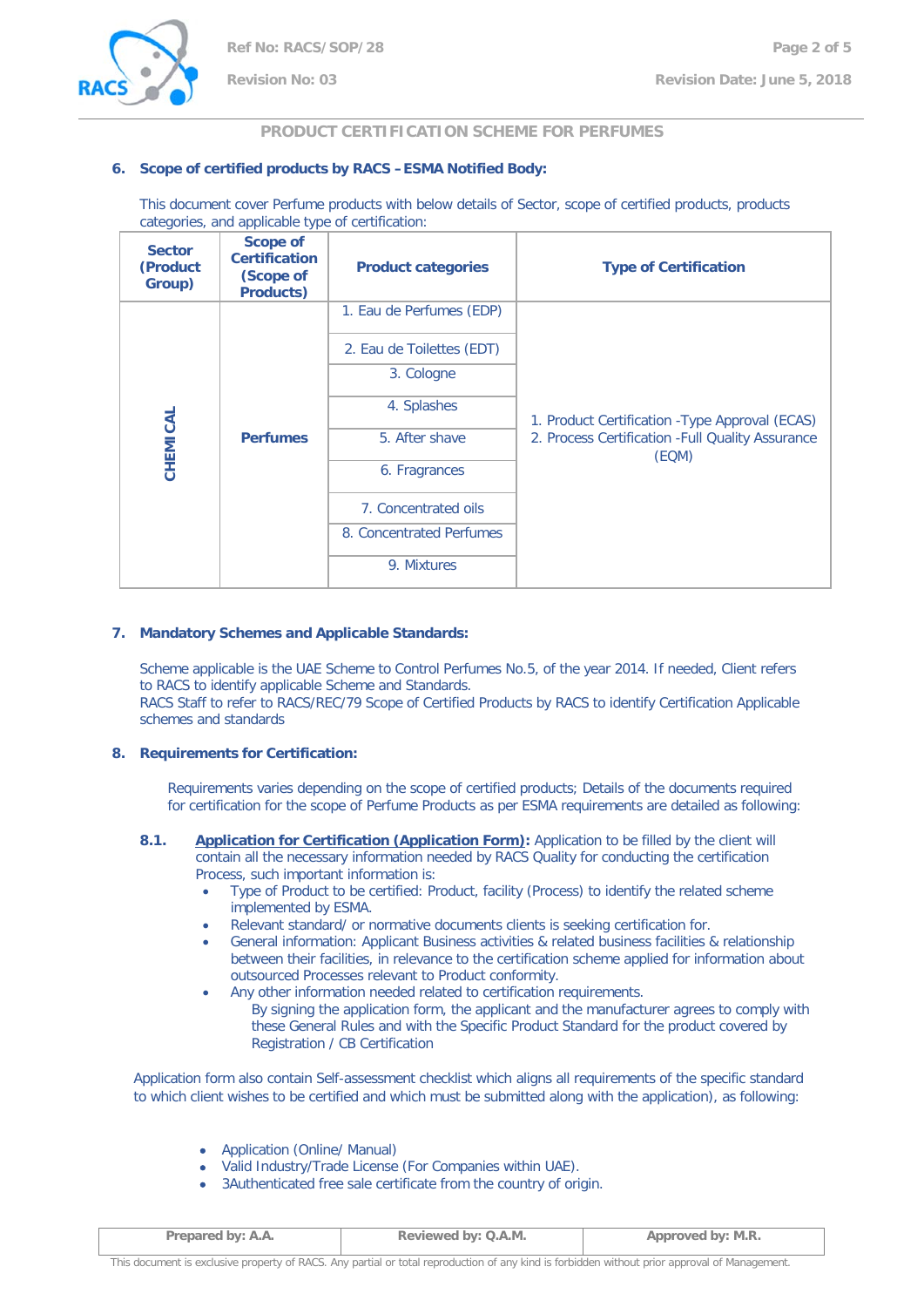

# **PRODUCT CERTIFICATION SCHEME FOR PERFUMES**

# **6. Scope of certified products by RACS –ESMA Notified Body:**

This document cover Perfume products with below details of Sector, scope of certified products, products categories, and applicable type of certification:

| <b>Sector</b><br>(Product<br>Group) | <b>Scope of</b><br><b>Certification</b><br>(Scope of<br><b>Products)</b> | <b>Product categories</b>                                  | <b>Type of Certification</b> |
|-------------------------------------|--------------------------------------------------------------------------|------------------------------------------------------------|------------------------------|
|                                     |                                                                          | 1. Eau de Perfumes (EDP)                                   |                              |
|                                     |                                                                          | 2. Eau de Toilettes (EDT)                                  |                              |
| CHEMICAL<br><b>Perfumes</b>         | 3. Cologne                                                               |                                                            |                              |
|                                     | 4. Splashes                                                              | 1. Product Certification - Type Approval (ECAS)            |                              |
|                                     | 5. After shave                                                           | 2. Process Certification - Full Quality Assurance<br>(EQM) |                              |
|                                     | 6. Fragrances                                                            |                                                            |                              |
|                                     |                                                                          | 7. Concentrated oils                                       |                              |
|                                     |                                                                          | 8. Concentrated Perfumes                                   |                              |
|                                     |                                                                          | 9. Mixtures                                                |                              |

## **7. Mandatory Schemes and Applicable Standards:**

Scheme applicable is the UAE Scheme to Control Perfumes No.5, of the year 2014. If needed, Client refers to RACS to identify applicable Scheme and Standards. RACS Staff to refer to RACS/REC/79 Scope of Certified Products by RACS to identify Certification Applicable schemes and standards

## **8. Requirements for Certification:**

Requirements varies depending on the scope of certified products; Details of the documents required for certification for the scope of Perfume Products as per ESMA requirements are detailed as following:

- **8.1. Application for Certification (Application Form):** Application to be filled by the client will contain all the necessary information needed by RACS Quality for conducting the certification Process, such important information is:
	- Type of Product to be certified: Product, facility (Process) to identify the related scheme implemented by ESMA.
	- Relevant standard/ or normative documents clients is seeking certification for.
	- General information: Applicant Business activities & related business facilities & relationship between their facilities, in relevance to the certification scheme applied for information about outsourced Processes relevant to Product conformity.
	- Any other information needed related to certification requirements. By signing the application form, the applicant and the manufacturer agrees to comply with these General Rules and with the Specific Product Standard for the product covered by Registration / CB Certification

Application form also contain Self-assessment checklist which aligns all requirements of the specific standard to which client wishes to be certified and which must be submitted along with the application), as following:

- Application (Online/ Manual)
- Valid Industry/Trade License (For Companies within UAE).
- 3Authenticated free sale certificate from the country of origin.

| Prepared by: A.A. | Reviewed by: Q.A.M. | Approved by: M.R. |
|-------------------|---------------------|-------------------|
|-------------------|---------------------|-------------------|

This document is exclusive property of RACS. Any partial or total reproduction of any kind is forbidden without prior approval of Management.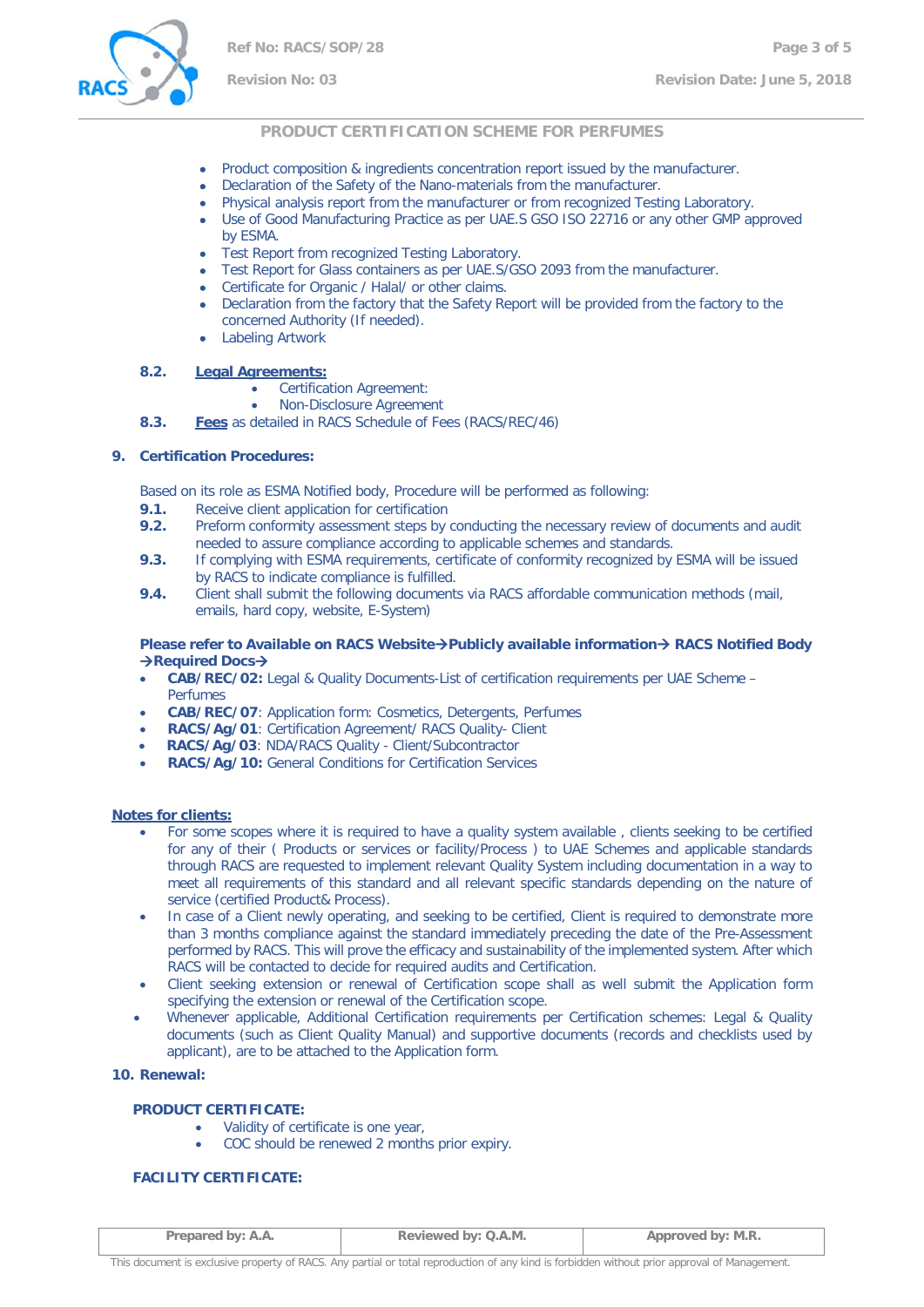

# **Revision No: 03 Revision Date: June 5, 2018**

## **PRODUCT CERTIFICATION SCHEME FOR PERFUMES**

- Product composition & ingredients concentration report issued by the manufacturer.
- Declaration of the Safety of the Nano-materials from the manufacturer.
- Physical analysis report from the manufacturer or from recognized Testing Laboratory.
- Use of Good Manufacturing Practice as per UAE.S GSO ISO 22716 or any other GMP approved by ESMA.
- Test Report from recognized Testing Laboratory.
- Test Report for Glass containers as per UAE.S/GSO 2093 from the manufacturer.
- Certificate for Organic / Halal/ or other claims.
- Declaration from the factory that the Safety Report will be provided from the factory to the concerned Authority (If needed).
- Labeling Artwork

#### **8.2. Legal Agreements:**

- Certification Agreement:
- Non-Disclosure Agreement
- **8.3. Fees** as detailed in RACS Schedule of Fees (RACS/REC/46)

#### **9. Certification Procedures:**

Based on its role as ESMA Notified body, Procedure will be performed as following:

- **9.1.** Receive client application for certification **9.2.** Preform conformity assessment steps by
- **9.2.** Preform conformity assessment steps by conducting the necessary review of documents and audit needed to assure compliance according to applicable schemes and standards.
- **9.3.** If complying with ESMA requirements, certificate of conformity recognized by ESMA will be issued by RACS to indicate compliance is fulfilled.
- **9.4.** Client shall submit the following documents via RACS affordable communication methods (mail, emails, hard copy, website, E-System)

#### **Please refer to Available on RACS Website > Publicly available information > RACS Notified Body Required Docs**→

- **CAB/REC/02:** Legal & Quality Documents-List of certification requirements per UAE Scheme Perfumes
- **CAB/REC/07**: Application form: Cosmetics, Detergents, Perfumes
- **RACS/Ag/01**: Certification Agreement/ RACS Quality- Client
- **RACS/Ag/03**: NDA/RACS Quality Client/Subcontractor
- **RACS/Ag/10:** General Conditions for Certification Services

#### **Notes for clients:**

- For some scopes where it is required to have a quality system available , clients seeking to be certified for any of their ( Products or services or facility/Process ) to UAE Schemes and applicable standards through RACS are requested to implement relevant Quality System including documentation in a way to meet all requirements of this standard and all relevant specific standards depending on the nature of service (certified Product& Process).
- In case of a Client newly operating, and seeking to be certified, Client is required to demonstrate more than 3 months compliance against the standard immediately preceding the date of the Pre-Assessment performed by RACS. This will prove the efficacy and sustainability of the implemented system. After which RACS will be contacted to decide for required audits and Certification.
- Client seeking extension or renewal of Certification scope shall as well submit the Application form specifying the extension or renewal of the Certification scope.
- Whenever applicable, Additional Certification requirements per Certification schemes: Legal & Quality documents (such as Client Quality Manual) and supportive documents (records and checklists used by applicant), are to be attached to the Application form.

#### **10. Renewal:**

## **PRODUCT CERTIFICATE:**

- Validity of certificate is one year,
- COC should be renewed 2 months prior expiry.

## **FACILITY CERTIFICATE:**

| Prepared by: A.A. | Reviewed by: Q.A.M. | Approved by: M.R. |
|-------------------|---------------------|-------------------|
|                   |                     |                   |

This document is exclusive property of RACS. Any partial or total reproduction of any kind is forbidden without prior approval of Management.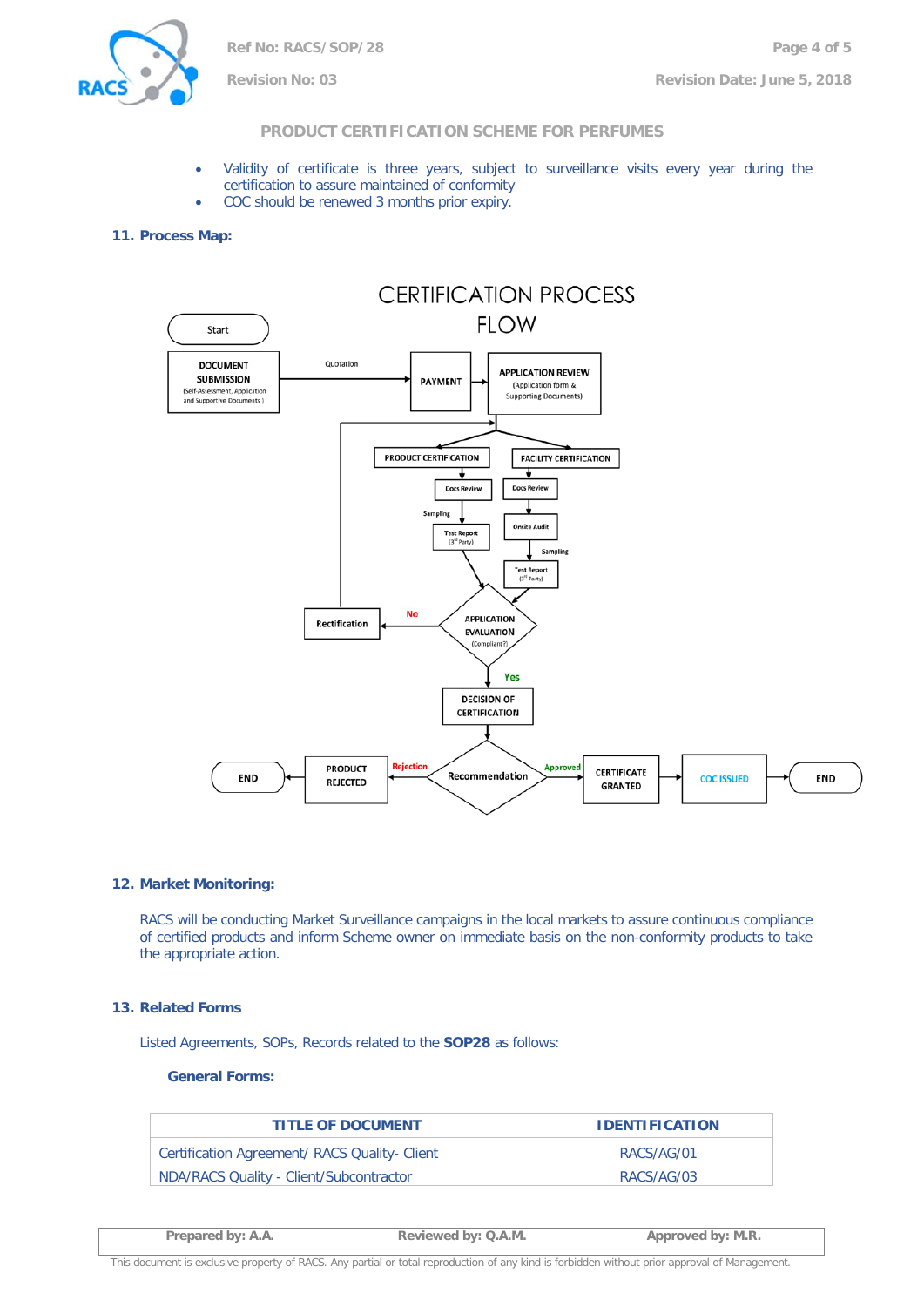

# **PRODUCT CERTIFICATION SCHEME FOR PERFUMES**

- Validity of certificate is three years, subject to surveillance visits every year during the certification to assure maintained of conformity
- COC should be renewed 3 months prior expiry.

#### **11. Process Map:**



#### **12. Market Monitoring:**

RACS will be conducting Market Surveillance campaigns in the local markets to assure continuous compliance of certified products and inform Scheme owner on immediate basis on the non-conformity products to take the appropriate action.

#### **13. Related Forms**

Listed Agreements, SOPs, Records related to the **SOP28** as follows:

#### **General Forms:**

| <b>TITLE OF DOCUMENT</b>                      | <b>IDENTIFICATION</b> |
|-----------------------------------------------|-----------------------|
| Certification Agreement/ RACS Quality- Client | RACS/AG/01            |
| NDA/RACS Quality - Client/Subcontractor       | RACS/AG/03            |

| Prepared by: A.A. | Reviewed by: Q.A.M. | Approved by: M.R. |
|-------------------|---------------------|-------------------|
|                   |                     |                   |

This document is exclusive property of RACS. Any partial or total reproduction of any kind is forbidden without prior approval of Management.